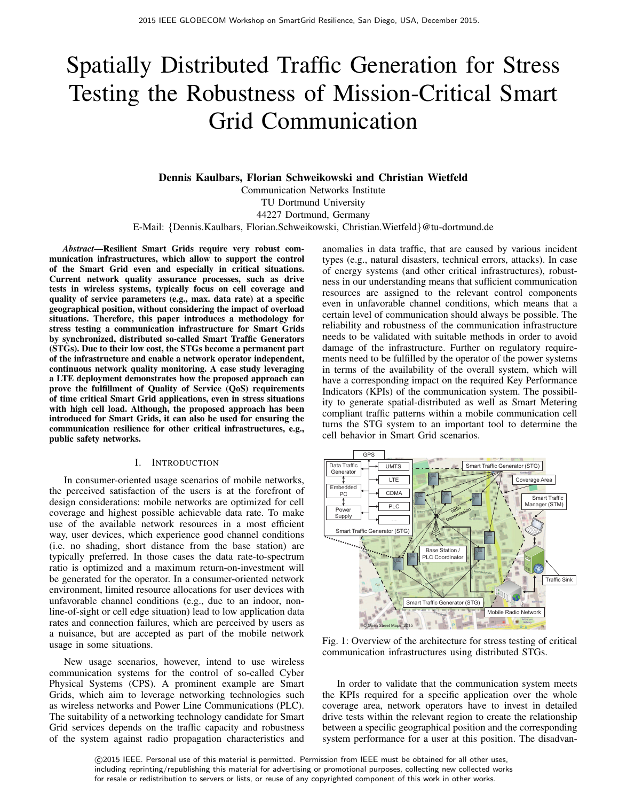# Spatially Distributed Traffic Generation for Stress Testing the Robustness of Mission-Critical Smart Grid Communication

**Dennis Kaulbars, Florian Schweikowski and Christian Wietfeld**

Communication Networks Institute TU Dortmund University 44227 Dortmund, Germany

E-Mail: {Dennis.Kaulbars, Florian.Schweikowski, Christian.Wietfeld}@tu-dortmund.de

*Abstract***—Resilient Smart Grids require very robust communication infrastructures, which allow to support the control of the Smart Grid even and especially in critical situations. Current network quality assurance processes, such as drive tests in wireless systems, typically focus on cell coverage and quality of service parameters (e.g., max. data rate) at a specific geographical position, without considering the impact of overload situations. Therefore, this paper introduces a methodology for stress testing a communication infrastructure for Smart Grids by synchronized, distributed so-called Smart Traffic Generators (STGs). Due to their low cost, the STGs become a permanent part of the infrastructure and enable a network operator independent, continuous network quality monitoring. A case study leveraging a LTE deployment demonstrates how the proposed approach can prove the fulfillment of Quality of Service (QoS) requirements of time critical Smart Grid applications, even in stress situations with high cell load. Although, the proposed approach has been introduced for Smart Grids, it can also be used for ensuring the communication resilience for other critical infrastructures, e.g., public safety networks.**

#### I. INTRODUCTION

In consumer-oriented usage scenarios of mobile networks, the perceived satisfaction of the users is at the forefront of design considerations: mobile networks are optimized for cell coverage and highest possible achievable data rate. To make use of the available network resources in a most efficient way, user devices, which experience good channel conditions (i.e. no shading, short distance from the base station) are typically preferred. In those cases the data rate-to-spectrum ratio is optimized and a maximum return-on-investment will be generated for the operator. In a consumer-oriented network environment, limited resource allocations for user devices with unfavorable channel conditions (e.g., due to an indoor, nonline-of-sight or cell edge situation) lead to low application data rates and connection failures, which are perceived by users as a nuisance, but are accepted as part of the mobile network usage in some situations.

New usage scenarios, however, intend to use wireless communication systems for the control of so-called Cyber Physical Systems (CPS). A prominent example are Smart Grids, which aim to leverage networking technologies such as wireless networks and Power Line Communications (PLC). The suitability of a networking technology candidate for Smart Grid services depends on the traffic capacity and robustness of the system against radio propagation characteristics and anomalies in data traffic, that are caused by various incident types (e.g., natural disasters, technical errors, attacks). In case of energy systems (and other critical infrastructures), robustness in our understanding means that sufficient communication resources are assigned to the relevant control components even in unfavorable channel conditions, which means that a certain level of communication should always be possible. The reliability and robustness of the communication infrastructure needs to be validated with suitable methods in order to avoid damage of the infrastructure. Further on regulatory requirements need to be fulfilled by the operator of the power systems in terms of the availability of the overall system, which will have a corresponding impact on the required Key Performance Indicators (KPIs) of the communication system. The possibility to generate spatial-distributed as well as Smart Metering compliant traffic patterns within a mobile communication cell turns the STG system to an important tool to determine the cell behavior in Smart Grid scenarios.



Fig. 1: Overview of the architecture for stress testing of critical communication infrastructures using distributed STGs.

In order to validate that the communication system meets the KPIs required for a specific application over the whole coverage area, network operators have to invest in detailed drive tests within the relevant region to create the relationship between a specific geographical position and the corresponding system performance for a user at this position. The disadvan-

 c 2015 IEEE. Personal use of this material is permitted. Permission from IEEE must be obtained for all other uses, including reprinting/republishing this material for advertising or promotional purposes, collecting new collected works for resale or redistribution to servers or lists, or reuse of any copyrighted component of this work in other works.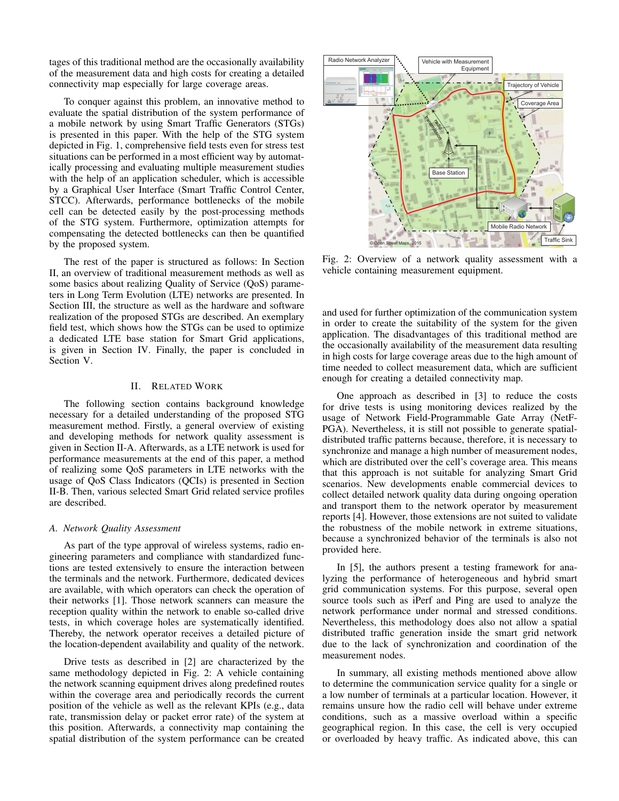tages of this traditional method are the occasionally availability of the measurement data and high costs for creating a detailed connectivity map especially for large coverage areas.

To conquer against this problem, an innovative method to evaluate the spatial distribution of the system performance of a mobile network by using Smart Traffic Generators (STGs) is presented in this paper. With the help of the STG system depicted in Fig. 1, comprehensive field tests even for stress test situations can be performed in a most efficient way by automatically processing and evaluating multiple measurement studies with the help of an application scheduler, which is accessible by a Graphical User Interface (Smart Traffic Control Center, STCC). Afterwards, performance bottlenecks of the mobile cell can be detected easily by the post-processing methods of the STG system. Furthermore, optimization attempts for compensating the detected bottlenecks can then be quantified by the proposed system.

The rest of the paper is structured as follows: In Section II, an overview of traditional measurement methods as well as some basics about realizing Quality of Service (QoS) parameters in Long Term Evolution (LTE) networks are presented. In Section III, the structure as well as the hardware and software realization of the proposed STGs are described. An exemplary field test, which shows how the STGs can be used to optimize a dedicated LTE base station for Smart Grid applications, is given in Section IV. Finally, the paper is concluded in Section V.

#### II. RELATED WORK

The following section contains background knowledge necessary for a detailed understanding of the proposed STG measurement method. Firstly, a general overview of existing and developing methods for network quality assessment is given in Section II-A. Afterwards, as a LTE network is used for performance measurements at the end of this paper, a method of realizing some QoS parameters in LTE networks with the usage of QoS Class Indicators (QCIs) is presented in Section II-B. Then, various selected Smart Grid related service profiles are described.

#### *A. Network Quality Assessment*

As part of the type approval of wireless systems, radio engineering parameters and compliance with standardized functions are tested extensively to ensure the interaction between the terminals and the network. Furthermore, dedicated devices are available, with which operators can check the operation of their networks [1]. Those network scanners can measure the reception quality within the network to enable so-called drive tests, in which coverage holes are systematically identified. Thereby, the network operator receives a detailed picture of the location-dependent availability and quality of the network.

Drive tests as described in [2] are characterized by the same methodology depicted in Fig. 2: A vehicle containing the network scanning equipment drives along predefined routes within the coverage area and periodically records the current position of the vehicle as well as the relevant KPIs (e.g., data rate, transmission delay or packet error rate) of the system at this position. Afterwards, a connectivity map containing the spatial distribution of the system performance can be created



Fig. 2: Overview of a network quality assessment with a vehicle containing measurement equipment.

and used for further optimization of the communication system in order to create the suitability of the system for the given application. The disadvantages of this traditional method are the occasionally availability of the measurement data resulting in high costs for large coverage areas due to the high amount of time needed to collect measurement data, which are sufficient enough for creating a detailed connectivity map.

One approach as described in [3] to reduce the costs for drive tests is using monitoring devices realized by the usage of Network Field-Programmable Gate Array (NetF-PGA). Nevertheless, it is still not possible to generate spatialdistributed traffic patterns because, therefore, it is necessary to synchronize and manage a high number of measurement nodes, which are distributed over the cell's coverage area. This means that this approach is not suitable for analyzing Smart Grid scenarios. New developments enable commercial devices to collect detailed network quality data during ongoing operation and transport them to the network operator by measurement reports [4]. However, those extensions are not suited to validate the robustness of the mobile network in extreme situations, because a synchronized behavior of the terminals is also not provided here.

In [5], the authors present a testing framework for analyzing the performance of heterogeneous and hybrid smart grid communication systems. For this purpose, several open source tools such as iPerf and Ping are used to analyze the network performance under normal and stressed conditions. Nevertheless, this methodology does also not allow a spatial distributed traffic generation inside the smart grid network due to the lack of synchronization and coordination of the measurement nodes.

In summary, all existing methods mentioned above allow to determine the communication service quality for a single or a low number of terminals at a particular location. However, it remains unsure how the radio cell will behave under extreme conditions, such as a massive overload within a specific geographical region. In this case, the cell is very occupied or overloaded by heavy traffic. As indicated above, this can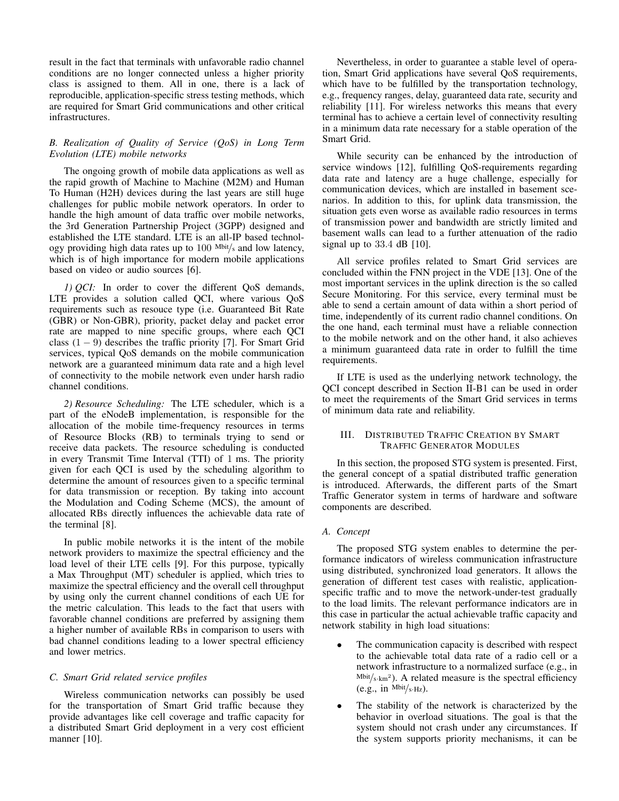result in the fact that terminals with unfavorable radio channel conditions are no longer connected unless a higher priority class is assigned to them. All in one, there is a lack of reproducible, application-specific stress testing methods, which are required for Smart Grid communications and other critical infrastructures.

# *B. Realization of Quality of Service (QoS) in Long Term Evolution (LTE) mobile networks*

The ongoing growth of mobile data applications as well as the rapid growth of Machine to Machine (M2M) and Human To Human (H2H) devices during the last years are still huge challenges for public mobile network operators. In order to handle the high amount of data traffic over mobile networks, the 3rd Generation Partnership Project (3GPP) designed and established the LTE standard. LTE is an all-IP based technology providing high data rates up to  $100$  Mbit/s and low latency, which is of high importance for modern mobile applications based on video or audio sources [6].

*1) QCI:* In order to cover the different QoS demands, LTE provides a solution called QCI, where various QoS requirements such as resouce type (i.e. Guaranteed Bit Rate (GBR) or Non-GBR), priority, packet delay and packet error rate are mapped to nine specific groups, where each QCI class  $(1 - 9)$  describes the traffic priority [7]. For Smart Grid services, typical QoS demands on the mobile communication network are a guaranteed minimum data rate and a high level of connectivity to the mobile network even under harsh radio channel conditions.

*2) Resource Scheduling:* The LTE scheduler, which is a part of the eNodeB implementation, is responsible for the allocation of the mobile time-frequency resources in terms of Resource Blocks (RB) to terminals trying to send or receive data packets. The resource scheduling is conducted in every Transmit Time Interval (TTI) of 1 ms. The priority given for each QCI is used by the scheduling algorithm to determine the amount of resources given to a specific terminal for data transmission or reception. By taking into account the Modulation and Coding Scheme (MCS), the amount of allocated RBs directly influences the achievable data rate of the terminal [8].

In public mobile networks it is the intent of the mobile network providers to maximize the spectral efficiency and the load level of their LTE cells [9]. For this purpose, typically a Max Throughput (MT) scheduler is applied, which tries to maximize the spectral efficiency and the overall cell throughput by using only the current channel conditions of each UE for the metric calculation. This leads to the fact that users with favorable channel conditions are preferred by assigning them a higher number of available RBs in comparison to users with bad channel conditions leading to a lower spectral efficiency and lower metrics.

# *C. Smart Grid related service profiles*

Wireless communication networks can possibly be used for the transportation of Smart Grid traffic because they provide advantages like cell coverage and traffic capacity for a distributed Smart Grid deployment in a very cost efficient manner [10].

Nevertheless, in order to guarantee a stable level of operation, Smart Grid applications have several QoS requirements, which have to be fulfilled by the transportation technology, e.g., frequency ranges, delay, guaranteed data rate, security and reliability [11]. For wireless networks this means that every terminal has to achieve a certain level of connectivity resulting in a minimum data rate necessary for a stable operation of the Smart Grid.

While security can be enhanced by the introduction of service windows [12], fulfilling QoS-requirements regarding data rate and latency are a huge challenge, especially for communication devices, which are installed in basement scenarios. In addition to this, for uplink data transmission, the situation gets even worse as available radio resources in terms of transmission power and bandwidth are strictly limited and basement walls can lead to a further attenuation of the radio signal up to 33.4 dB [10].

All service profiles related to Smart Grid services are concluded within the FNN project in the VDE [13]. One of the most important services in the uplink direction is the so called Secure Monitoring. For this service, every terminal must be able to send a certain amount of data within a short period of time, independently of its current radio channel conditions. On the one hand, each terminal must have a reliable connection to the mobile network and on the other hand, it also achieves a minimum guaranteed data rate in order to fulfill the time requirements.

If LTE is used as the underlying network technology, the QCI concept described in Section II-B1 can be used in order to meet the requirements of the Smart Grid services in terms of minimum data rate and reliability.

## III. DISTRIBUTED TRAFFIC CREATION BY SMART TRAFFIC GENERATOR MODULES

In this section, the proposed STG system is presented. First, the general concept of a spatial distributed traffic generation is introduced. Afterwards, the different parts of the Smart Traffic Generator system in terms of hardware and software components are described.

## *A. Concept*

The proposed STG system enables to determine the performance indicators of wireless communication infrastructure using distributed, synchronized load generators. It allows the generation of different test cases with realistic, applicationspecific traffic and to move the network-under-test gradually to the load limits. The relevant performance indicators are in this case in particular the actual achievable traffic capacity and network stability in high load situations:

- The communication capacity is described with respect to the achievable total data rate of a radio cell or a network infrastructure to a normalized surface (e.g., in  $Mbit/s·km<sup>2</sup>)$ . A related measure is the spectral efficiency (e.g., in  $Mbit/s·Hz$ ).
- The stability of the network is characterized by the behavior in overload situations. The goal is that the system should not crash under any circumstances. If the system supports priority mechanisms, it can be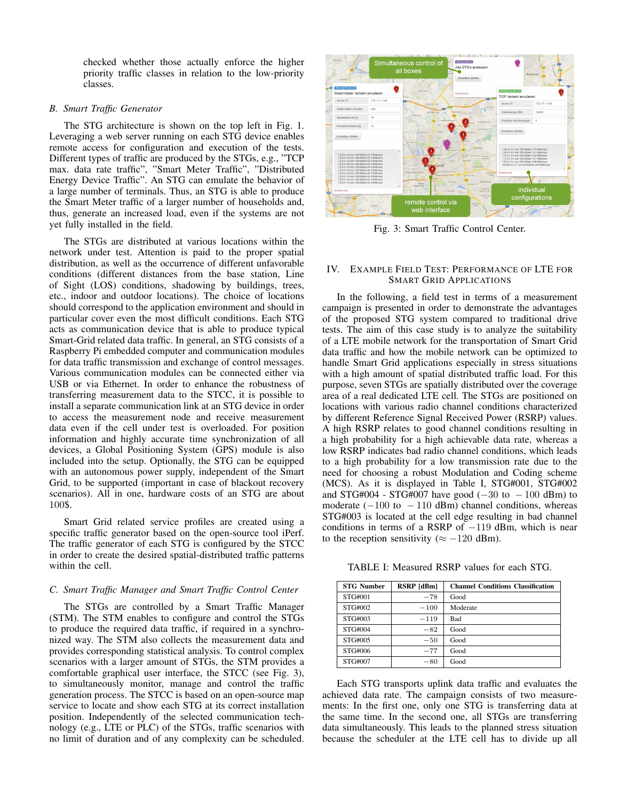checked whether those actually enforce the higher priority traffic classes in relation to the low-priority classes.

#### *B. Smart Traffic Generator*

The STG architecture is shown on the top left in Fig. 1. Leveraging a web server running on each STG device enables remote access for configuration and execution of the tests. Different types of traffic are produced by the STGs, e.g., "TCP max. data rate traffic", "Smart Meter Traffic", "Distributed Energy Device Traffic". An STG can emulate the behavior of a large number of terminals. Thus, an STG is able to produce the Smart Meter traffic of a larger number of households and, thus, generate an increased load, even if the systems are not yet fully installed in the field.

The STGs are distributed at various locations within the network under test. Attention is paid to the proper spatial distribution, as well as the occurrence of different unfavorable conditions (different distances from the base station, Line of Sight (LOS) conditions, shadowing by buildings, trees, etc., indoor and outdoor locations). The choice of locations should correspond to the application environment and should in particular cover even the most difficult conditions. Each STG acts as communication device that is able to produce typical Smart-Grid related data traffic. In general, an STG consists of a Raspberry Pi embedded computer and communication modules for data traffic transmission and exchange of control messages. Various communication modules can be connected either via USB or via Ethernet. In order to enhance the robustness of transferring measurement data to the STCC, it is possible to install a separate communication link at an STG device in order to access the measurement node and receive measurement data even if the cell under test is overloaded. For position information and highly accurate time synchronization of all devices, a Global Positioning System (GPS) module is also included into the setup. Optionally, the STG can be equipped with an autonomous power supply, independent of the Smart Grid, to be supported (important in case of blackout recovery scenarios). All in one, hardware costs of an STG are about 100\$.

Smart Grid related service profiles are created using a specific traffic generator based on the open-source tool iPerf. The traffic generator of each STG is configured by the STCC in order to create the desired spatial-distributed traffic patterns within the cell.

# *C. Smart Traffic Manager and Smart Traffic Control Center*

The STGs are controlled by a Smart Traffic Manager (STM). The STM enables to configure and control the STGs to produce the required data traffic, if required in a synchronized way. The STM also collects the measurement data and provides corresponding statistical analysis. To control complex scenarios with a larger amount of STGs, the STM provides a comfortable graphical user interface, the STCC (see Fig. 3), to simultaneously monitor, manage and control the traffic generation process. The STCC is based on an open-source map service to locate and show each STG at its correct installation position. Independently of the selected communication technology (e.g., LTE or PLC) of the STGs, traffic scenarios with no limit of duration and of any complexity can be scheduled.



Fig. 3: Smart Traffic Control Center.

#### IV. EXAMPLE FIELD TEST: PERFORMANCE OF LTE FOR SMART GRID APPLICATIONS

In the following, a field test in terms of a measurement campaign is presented in order to demonstrate the advantages of the proposed STG system compared to traditional drive tests. The aim of this case study is to analyze the suitability of a LTE mobile network for the transportation of Smart Grid data traffic and how the mobile network can be optimized to handle Smart Grid applications especially in stress situations with a high amount of spatial distributed traffic load. For this purpose, seven STGs are spatially distributed over the coverage area of a real dedicated LTE cell. The STGs are positioned on locations with various radio channel conditions characterized by different Reference Signal Received Power (RSRP) values. A high RSRP relates to good channel conditions resulting in a high probability for a high achievable data rate, whereas a low RSRP indicates bad radio channel conditions, which leads to a high probability for a low transmission rate due to the need for choosing a robust Modulation and Coding scheme (MCS). As it is displayed in Table I, STG#001, STG#002 and STG#004 - STG#007 have good  $(-30 \text{ to } -100 \text{ dBm})$  to moderate  $(-100 \text{ to } -110 \text{ dBm})$  channel conditions, whereas STG#003 is located at the cell edge resulting in bad channel conditions in terms of a RSRP of  $-119$  dBm, which is near to the reception sensitivity ( $\approx -120$  dBm).

TABLE I: Measured RSRP values for each STG.

| <b>STG Number</b> | RSRP [dBm] | <b>Channel Conditions Classification</b> |
|-------------------|------------|------------------------------------------|
| STG#001           | $-78$      | Good                                     |
| STG#002           | $-100$     | Moderate                                 |
| STG#003           | $-119$     | <b>Bad</b>                               |
| STG#004           | $-82$      | Good                                     |
| STG#005           | $-50$      | Good                                     |
| STG#006           | $-77$      | Good                                     |
| STG#007           | $-80$      | Good                                     |

Each STG transports uplink data traffic and evaluates the achieved data rate. The campaign consists of two measurements: In the first one, only one STG is transferring data at the same time. In the second one, all STGs are transferring data simultaneously. This leads to the planned stress situation because the scheduler at the LTE cell has to divide up all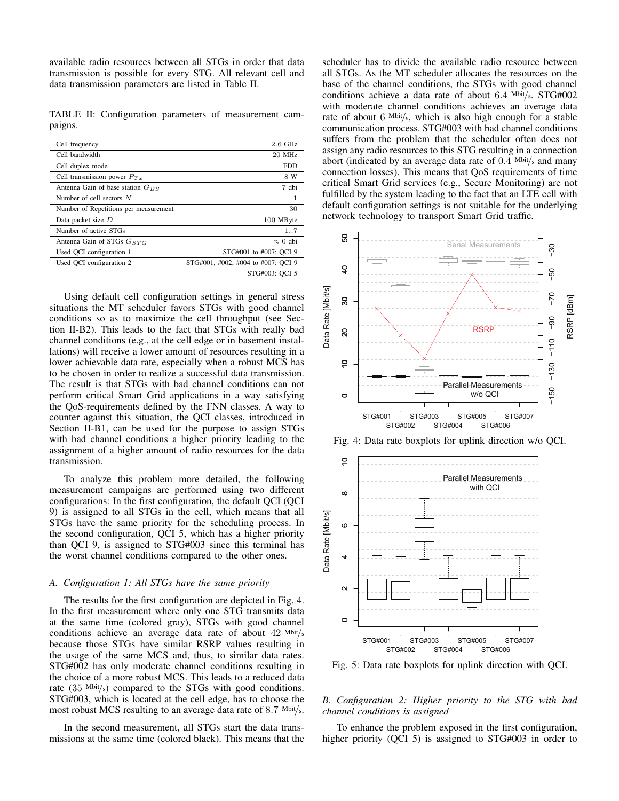available radio resources between all STGs in order that data transmission is possible for every STG. All relevant cell and data transmission parameters are listed in Table II.

TABLE II: Configuration parameters of measurement campaigns.

| $2.6$ GHz<br>Cell frequency<br>Cell bandwidth<br>$20$ MHz<br>Cell duplex mode<br><b>FDD</b><br>Cell transmission power $P_{Tr}$<br>8 W<br>Antenna Gain of base station $G_{BS}$<br>7 dbi<br>Number of cell sectors $N$<br>1<br>30<br>Number of Repetitions per measurement<br>Data packet size $D$<br>100 MByte<br>Number of active STGs<br>17<br>Antenna Gain of STGs $G_{STG}$<br>$\approx 0$ dbi<br>Used OCI configuration 1<br>STG#001 to #007: OCI 9<br>Used OCI configuration 2<br>STG#001, #002, #004 to #007: OCI 9<br>STG#003: OCI 5 |  |
|-----------------------------------------------------------------------------------------------------------------------------------------------------------------------------------------------------------------------------------------------------------------------------------------------------------------------------------------------------------------------------------------------------------------------------------------------------------------------------------------------------------------------------------------------|--|
|                                                                                                                                                                                                                                                                                                                                                                                                                                                                                                                                               |  |
|                                                                                                                                                                                                                                                                                                                                                                                                                                                                                                                                               |  |
|                                                                                                                                                                                                                                                                                                                                                                                                                                                                                                                                               |  |
|                                                                                                                                                                                                                                                                                                                                                                                                                                                                                                                                               |  |
|                                                                                                                                                                                                                                                                                                                                                                                                                                                                                                                                               |  |
|                                                                                                                                                                                                                                                                                                                                                                                                                                                                                                                                               |  |
|                                                                                                                                                                                                                                                                                                                                                                                                                                                                                                                                               |  |
|                                                                                                                                                                                                                                                                                                                                                                                                                                                                                                                                               |  |
|                                                                                                                                                                                                                                                                                                                                                                                                                                                                                                                                               |  |
|                                                                                                                                                                                                                                                                                                                                                                                                                                                                                                                                               |  |
|                                                                                                                                                                                                                                                                                                                                                                                                                                                                                                                                               |  |
|                                                                                                                                                                                                                                                                                                                                                                                                                                                                                                                                               |  |
|                                                                                                                                                                                                                                                                                                                                                                                                                                                                                                                                               |  |

Using default cell configuration settings in general stress situations the MT scheduler favors STGs with good channel conditions so as to maximize the cell throughput (see Section II-B2). This leads to the fact that STGs with really bad channel conditions (e.g., at the cell edge or in basement installations) will receive a lower amount of resources resulting in a lower achievable data rate, especially when a robust MCS has to be chosen in order to realize a successful data transmission. The result is that STGs with bad channel conditions can not perform critical Smart Grid applications in a way satisfying the QoS-requirements defined by the FNN classes. A way to counter against this situation, the QCI classes, introduced in Section II-B1, can be used for the purpose to assign STGs with bad channel conditions a higher priority leading to the assignment of a higher amount of radio resources for the data transmission.

To analyze this problem more detailed, the following measurement campaigns are performed using two different configurations: In the first configuration, the default QCI (QCI 9) is assigned to all STGs in the cell, which means that all STGs have the same priority for the scheduling process. In the second configuration, QCI 5, which has a higher priority than QCI 9, is assigned to STG#003 since this terminal has the worst channel conditions compared to the other ones.

## *A. Configuration 1: All STGs have the same priority*

The results for the first configuration are depicted in Fig. 4. In the first measurement where only one STG transmits data at the same time (colored gray), STGs with good channel conditions achieve an average data rate of about 42 Mbit/<sup>s</sup> because those STGs have similar RSRP values resulting in the usage of the same MCS and, thus, to similar data rates. STG#002 has only moderate channel conditions resulting in the choice of a more robust MCS. This leads to a reduced data rate (35 Mbit/s) compared to the STGs with good conditions. STG#003, which is located at the cell edge, has to choose the most robust MCS resulting to an average data rate of 8.7 Mbit/s.

In the second measurement, all STGs start the data transmissions at the same time (colored black). This means that the scheduler has to divide the available radio resource between all STGs. As the MT scheduler allocates the resources on the base of the channel conditions, the STGs with good channel conditions achieve a data rate of about 6.4 Mbit/s. STG#002 with moderate channel conditions achieves an average data rate of about 6 Mbit/s, which is also high enough for a stable communication process. STG#003 with bad channel conditions suffers from the problem that the scheduler often does not assign any radio resources to this STG resulting in a connection abort (indicated by an average data rate of  $0.4$  Mbit/s and many connection losses). This means that QoS requirements of time critical Smart Grid services (e.g., Secure Monitoring) are not fulfilled by the system leading to the fact that an LTE cell with default configuration settings is not suitable for the underlying network technology to transport Smart Grid traffic.



Fig. 5: Data rate boxplots for uplink direction with QCI.

## *B. Configuration 2: Higher priority to the STG with bad channel conditions is assigned*

To enhance the problem exposed in the first configuration, higher priority (QCI 5) is assigned to STG#003 in order to